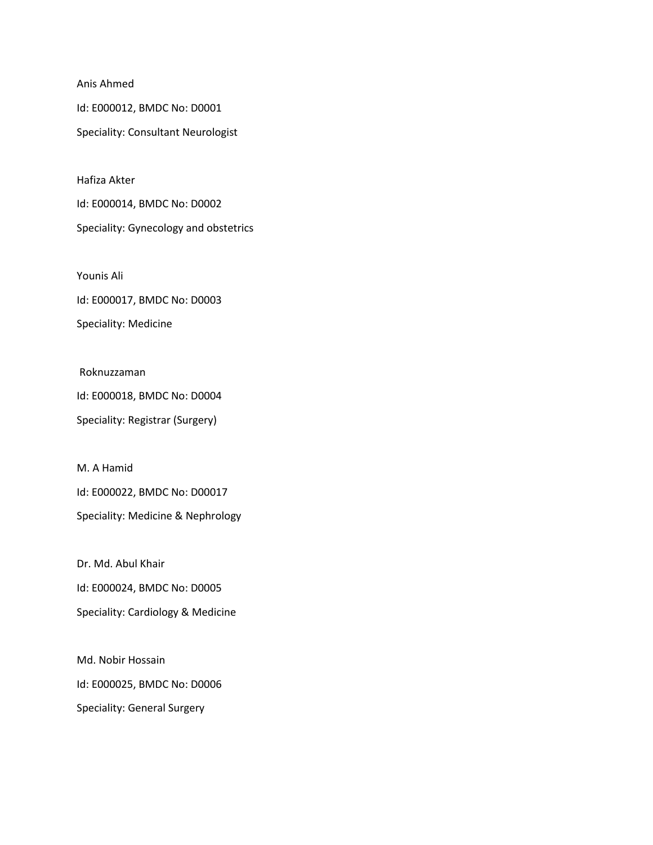Anis Ahmed

Id: E000012, BMDC No: D0001 Speciality: Consultant Neurologist

Hafiza Akter

Id: E000014, BMDC No: D0002 Speciality: Gynecology and obstetrics

Younis Ali

Id: E000017, BMDC No: D0003

Speciality: Medicine

Roknuzzaman

Id: E000018, BMDC No: D0004 Speciality: Registrar (Surgery)

M. A Hamid Id: E000022, BMDC No: D00017 Speciality: Medicine & Nephrology

Dr. Md. Abul Khair

Id: E000024, BMDC No: D0005

Speciality: Cardiology & Medicine

Md. Nobir Hossain Id: E000025, BMDC No: D0006 Speciality: General Surgery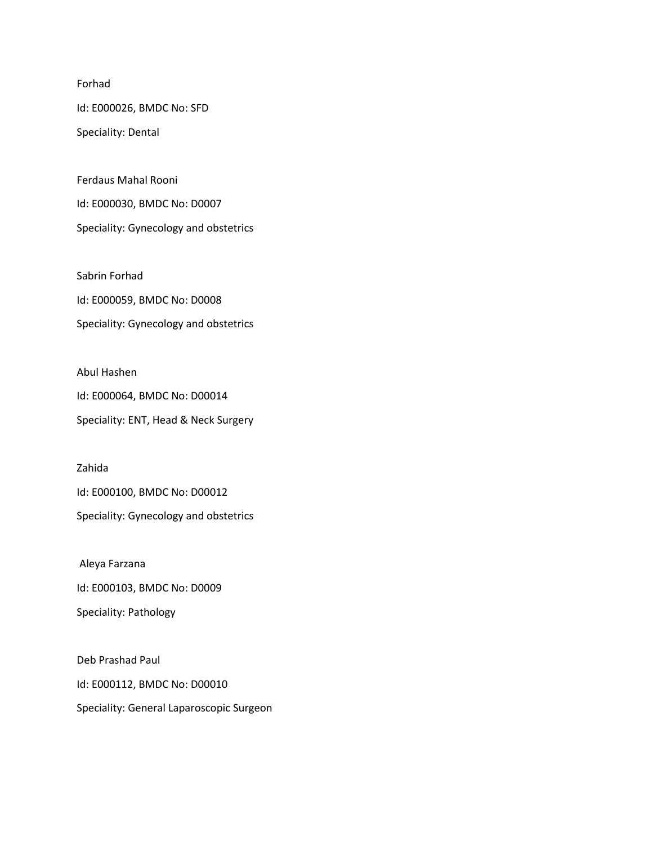Forhad

Id: E000026, BMDC No: SFD

Speciality: Dental

Ferdaus Mahal Rooni Id: E000030, BMDC No: D0007 Speciality: Gynecology and obstetrics

Sabrin Forhad Id: E000059, BMDC No: D0008 Speciality: Gynecology and obstetrics

Abul Hashen Id: E000064, BMDC No: D00014 Speciality: ENT, Head & Neck Surgery

Zahida Id: E000100, BMDC No: D00012 Speciality: Gynecology and obstetrics

Aleya Farzana Id: E000103, BMDC No: D0009 Speciality: Pathology

Deb Prashad Paul Id: E000112, BMDC No: D00010 Speciality: General Laparoscopic Surgeon